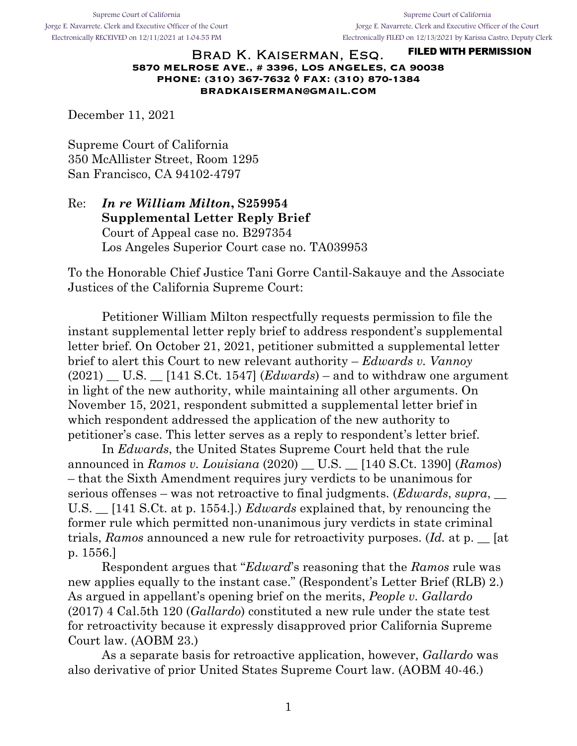Supreme Court of California Jorge E. Navarrete, Clerk and Executive Officer of the Court Electronically RECEIVED on 12/11/2021 at 1:04:55 PM

Supreme Court of California Jorge E. Navarrete, Clerk and Executive Officer of the Court Electronically FILED on 12/13/2021 by Karissa Castro, Deputy Clerk

#### **FILED WITH PERMISSION** Brad K. Kaiserman, Esq. **5870 MELROSE AVE., # 3396, LOS ANGELES, CA 90038 PHONE: (310) 367-7632 ◊ FAX: (310) 870-1384 BRADKAISERMAN@GMAIL.COM**

December 11, 2021

Supreme Court of California 350 McAllister Street, Room 1295 San Francisco, CA 94102-4797

Re: *In re William Milton***, S259954 Supplemental Letter Reply Brief**  Court of Appeal case no. B297354 Los Angeles Superior Court case no. TA039953

To the Honorable Chief Justice Tani Gorre Cantil-Sakauye and the Associate Justices of the California Supreme Court:

Petitioner William Milton respectfully requests permission to file the instant supplemental letter reply brief to address respondent's supplemental letter brief. On October 21, 2021, petitioner submitted a supplemental letter brief to alert this Court to new relevant authority – *Edwards v. Vannoy*   $(2021)$  U.S.  $\qquad$  [141 S.Ct. 1547] (*Edwards*) – and to withdraw one argument in light of the new authority, while maintaining all other arguments. On November 15, 2021, respondent submitted a supplemental letter brief in which respondent addressed the application of the new authority to petitioner's case. This letter serves as a reply to respondent's letter brief.

In *Edwards*, the United States Supreme Court held that the rule announced in *Ramos v. Louisiana* (2020) \_\_ U.S. \_\_ [140 S.Ct. 1390] (*Ramos*) – that the Sixth Amendment requires jury verdicts to be unanimous for serious offenses – was not retroactive to final judgments. (*Edwards*, *supra*, \_\_ U.S. \_\_ [141 S.Ct. at p. 1554.].) *Edwards* explained that, by renouncing the former rule which permitted non-unanimous jury verdicts in state criminal trials, *Ramos* announced a new rule for retroactivity purposes. (*Id.* at p. \_\_ [at p. 1556.]

Respondent argues that "*Edward*'s reasoning that the *Ramos* rule was new applies equally to the instant case." (Respondent's Letter Brief (RLB) 2.) As argued in appellant's opening brief on the merits, *People v. Gallardo*  (2017) 4 Cal.5th 120 (*Gallardo*) constituted a new rule under the state test for retroactivity because it expressly disapproved prior California Supreme Court law. (AOBM 23.)

As a separate basis for retroactive application, however, *Gallardo* was also derivative of prior United States Supreme Court law. (AOBM 40-46.)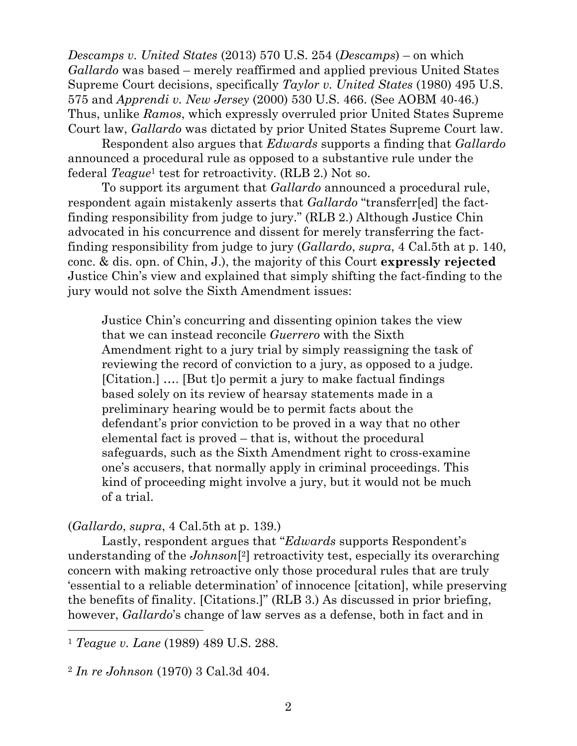*Descamps v. United States* (2013) 570 U.S. 254 (*Descamps*) – on which *Gallardo* was based – merely reaffirmed and applied previous United States Supreme Court decisions, specifically *Taylor v. United States* (1980) 495 U.S. 575 and *Apprendi v. New Jersey* (2000) 530 U.S. 466. (See AOBM 40-46.) Thus, unlike *Ramos*, which expressly overruled prior United States Supreme Court law, *Gallardo* was dictated by prior United States Supreme Court law.

Respondent also argues that *Edwards* supports a finding that *Gallardo* announced a procedural rule as opposed to a substantive rule under the federal *Teague*<sup>1</sup> test for retroactivity. (RLB 2.) Not so.

To support its argument that *Gallardo* announced a procedural rule, respondent again mistakenly asserts that *Gallardo* "transferr[ed] the factfinding responsibility from judge to jury." (RLB 2.) Although Justice Chin advocated in his concurrence and dissent for merely transferring the factfinding responsibility from judge to jury (*Gallardo*, *supra*, 4 Cal.5th at p. 140, conc. & dis. opn. of Chin, J.), the majority of this Court **expressly rejected** Justice Chin's view and explained that simply shifting the fact-finding to the jury would not solve the Sixth Amendment issues:

Justice Chin's concurring and dissenting opinion takes the view that we can instead reconcile *Guerrero* with the Sixth Amendment right to a jury trial by simply reassigning the task of reviewing the record of conviction to a jury, as opposed to a judge. [Citation.] …. [But t]o permit a jury to make factual findings based solely on its review of hearsay statements made in a preliminary hearing would be to permit facts about the defendant's prior conviction to be proved in a way that no other elemental fact is proved – that is, without the procedural safeguards, such as the Sixth Amendment right to cross-examine one's accusers, that normally apply in criminal proceedings. This kind of proceeding might involve a jury, but it would not be much of a trial.

(*Gallardo*, *supra*, 4 Cal.5th at p. 139.)

Lastly, respondent argues that "*Edwards* supports Respondent's understanding of the *Johnson*[2] retroactivity test, especially its overarching concern with making retroactive only those procedural rules that are truly 'essential to a reliable determination' of innocence [citation], while preserving the benefits of finality. [Citations.]" (RLB 3.) As discussed in prior briefing, however, *Gallardo*'s change of law serves as a defense, both in fact and in

 

<sup>1</sup> *Teague v. Lane* (1989) 489 U.S. 288.

<sup>2</sup> *In re Johnson* (1970) 3 Cal.3d 404.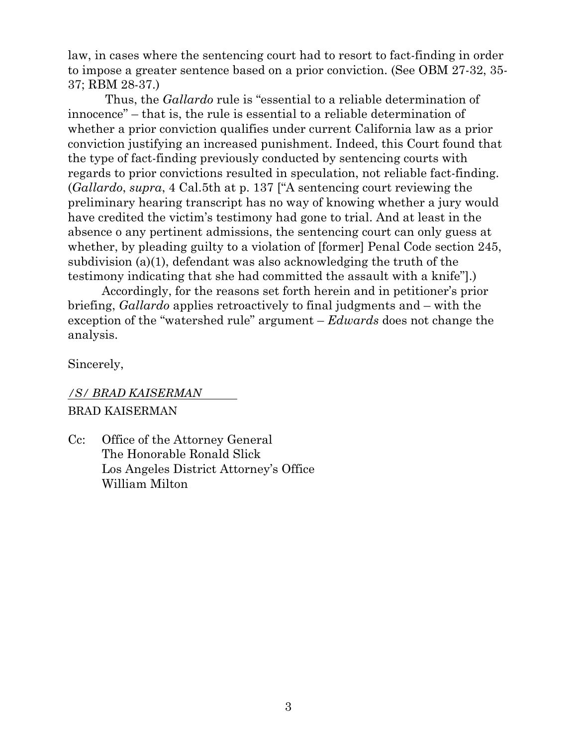law, in cases where the sentencing court had to resort to fact-finding in order to impose a greater sentence based on a prior conviction. (See OBM 27-32, 35- 37; RBM 28-37.)

Thus, the *Gallardo* rule is "essential to a reliable determination of innocence" – that is, the rule is essential to a reliable determination of whether a prior conviction qualifies under current California law as a prior conviction justifying an increased punishment. Indeed, this Court found that the type of fact-finding previously conducted by sentencing courts with regards to prior convictions resulted in speculation, not reliable fact-finding. (*Gallardo*, *supra*, 4 Cal.5th at p. 137 ["A sentencing court reviewing the preliminary hearing transcript has no way of knowing whether a jury would have credited the victim's testimony had gone to trial. And at least in the absence o any pertinent admissions, the sentencing court can only guess at whether, by pleading guilty to a violation of [former] Penal Code section 245, subdivision (a)(1), defendant was also acknowledging the truth of the testimony indicating that she had committed the assault with a knife"].)

Accordingly, for the reasons set forth herein and in petitioner's prior briefing, *Gallardo* applies retroactively to final judgments and – with the exception of the "watershed rule" argument – *Edwards* does not change the analysis.

Sincerely,

# */S/ BRAD KAISERMAN* BRAD KAISERMAN

Cc: Office of the Attorney General The Honorable Ronald Slick Los Angeles District Attorney's Office William Milton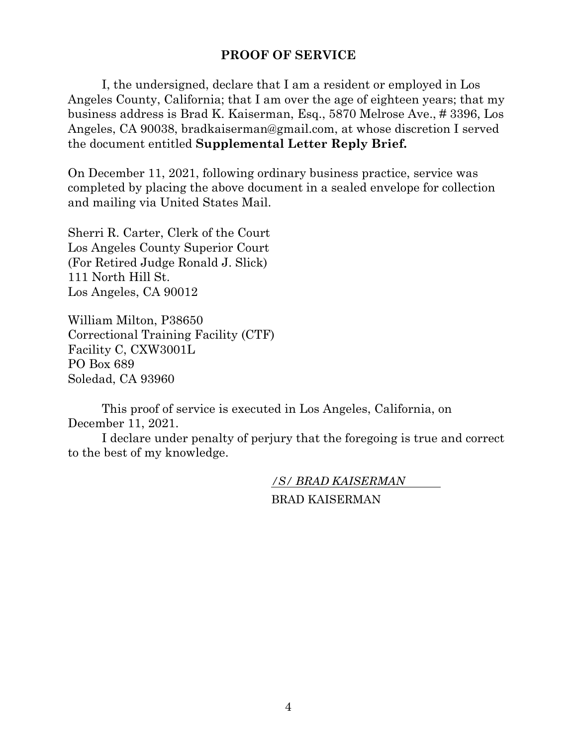## **PROOF OF SERVICE**

I, the undersigned, declare that I am a resident or employed in Los Angeles County, California; that I am over the age of eighteen years; that my business address is Brad K. Kaiserman, Esq., 5870 Melrose Ave., # 3396, Los Angeles, CA 90038, bradkaiserman@gmail.com, at whose discretion I served the document entitled **Supplemental Letter Reply Brief.**

On December 11, 2021, following ordinary business practice, service was completed by placing the above document in a sealed envelope for collection and mailing via United States Mail.

Sherri R. Carter, Clerk of the Court Los Angeles County Superior Court (For Retired Judge Ronald J. Slick) 111 North Hill St. Los Angeles, CA 90012

William Milton, P38650 Correctional Training Facility (CTF) Facility C, CXW3001L PO Box 689 Soledad, CA 93960

This proof of service is executed in Los Angeles, California, on December 11, 2021.

I declare under penalty of perjury that the foregoing is true and correct to the best of my knowledge.

*/S/ BRAD KAISERMAN*

BRAD KAISERMAN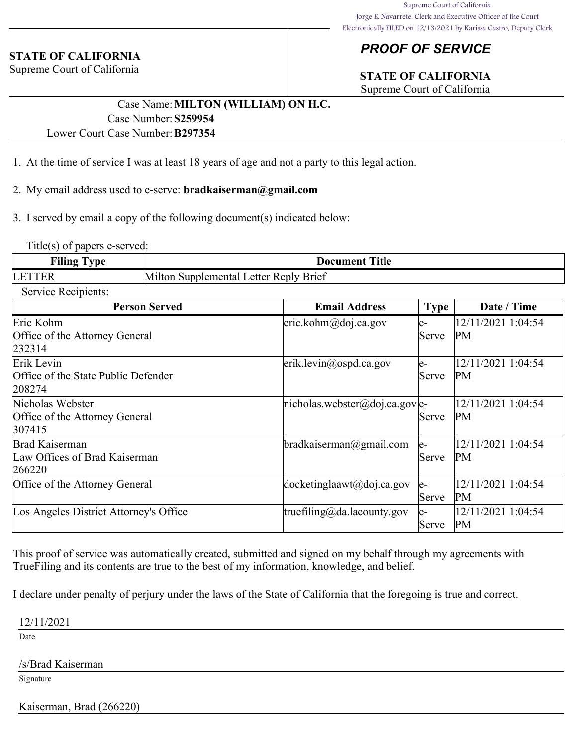### **STATE OF CALIFORNIA**

Supreme Court of California

## *PROOF OF SERVICE*

# **STATE OF CALIFORNIA**

Supreme Court of California

## Case Name:**MILTON (WILLIAM) ON H.C.** Case Number:**S259954**

### Lower Court Case Number:**B297354**

- 1. At the time of service I was at least 18 years of age and not a party to this legal action.
- 2. My email address used to e-serve: **bradkaiserman@gmail.com**
- 3. I served by email a copy of the following document(s) indicated below:

Title(s) of papers e-served:

| Filing<br>-<br>vpe | Title<br>Document                                 |  |  |
|--------------------|---------------------------------------------------|--|--|
| LE <sub>1</sub>    | ∙ Replv Brief<br>'Milton<br>etter<br>Supplemental |  |  |

#### Service Recipients:

| <b>Person Served</b>                                         | <b>Email Address</b>                               | <b>Type</b>         | Date / Time                     |
|--------------------------------------------------------------|----------------------------------------------------|---------------------|---------------------------------|
| Eric Kohm<br>Office of the Attorney General<br>232314        | $ $ eric.kohm@doj.ca.gov                           | le-<br>Serve        | 12/11/2021 1:04:54<br>PM        |
| Erik Levin<br>Office of the State Public Defender<br>208274  | $\text{erik.}$ levin $\textcircled{a}$ ospd.ca.gov | le-<br><b>Serve</b> | 12/11/2021 1:04:54<br>PM        |
| Nicholas Webster<br>Office of the Attorney General<br>307415 | $ nicholas. \n    website(@doj.ca.gov e-$          | Serve               | 12/11/2021 1:04:54<br>PM        |
| Brad Kaiserman<br>Law Offices of Brad Kaiserman<br>266220    | bradkaiserman@gmail.com                            | le-<br><b>Serve</b> | 12/11/2021 1:04:54<br>PM        |
| Office of the Attorney General                               | $ do$ cketinglaawt $(a)$ doj.ca.gov                | le-<br>Serve        | 12/11/2021 1:04:54<br><b>PM</b> |
| Los Angeles District Attorney's Office                       | truefiling@da.lacounty.gov                         | le-<br>Serve        | 12/11/2021 1:04:54<br>PM        |

This proof of service was automatically created, submitted and signed on my behalf through my agreements with TrueFiling and its contents are true to the best of my information, knowledge, and belief.

I declare under penalty of perjury under the laws of the State of California that the foregoing is true and correct.

12/11/2021

Date

#### /s/Brad Kaiserman

Signature

Kaiserman, Brad (266220)